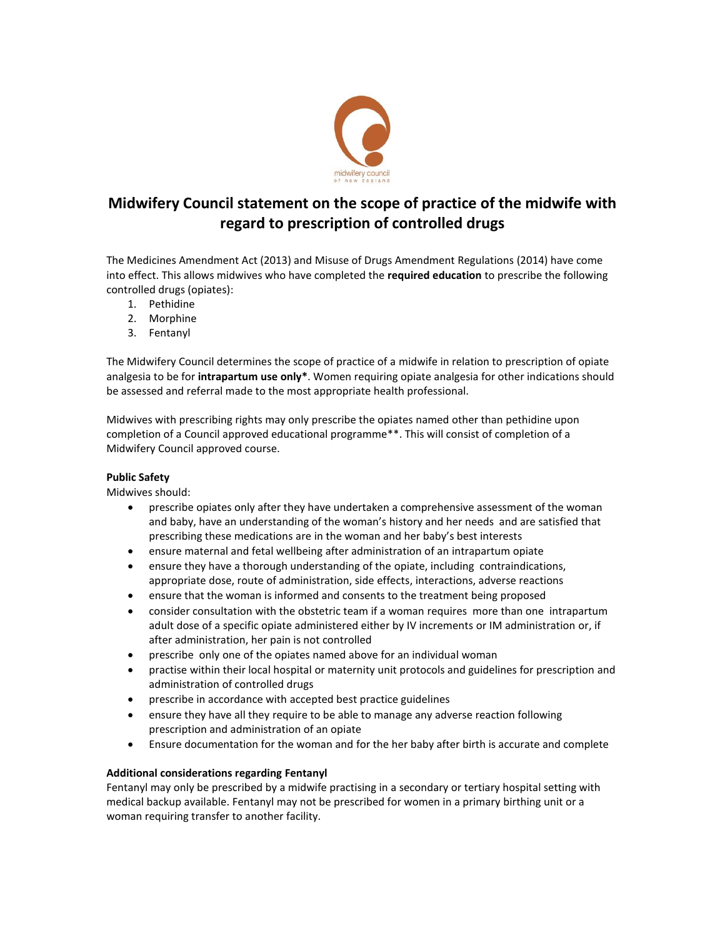

# **Midwifery Council statement on the scope of practice of the midwife with regard to prescription of controlled drugs**

The Medicines Amendment Act (2013) and Misuse of Drugs Amendment Regulations (2014) have come into effect. This allows midwives who have completed the **required education** to prescribe the following controlled drugs (opiates):

- 1. Pethidine
- 2. Morphine
- 3. Fentanyl

The Midwifery Council determines the scope of practice of a midwife in relation to prescription of opiate analgesia to be for **intrapartum use only\***. Women requiring opiate analgesia for other indications should be assessed and referral made to the most appropriate health professional.

Midwives with prescribing rights may only prescribe the opiates named other than pethidine upon completion of a Council approved educational programme\*\*. This will consist of completion of a Midwifery Council approved course.

# **Public Safety**

Midwives should:

- prescribe opiates only after they have undertaken a comprehensive assessment of the woman and baby, have an understanding of the woman's history and her needs and are satisfied that prescribing these medications are in the woman and her baby's best interests
- ensure maternal and fetal wellbeing after administration of an intrapartum opiate
- ensure they have a thorough understanding of the opiate, including contraindications, appropriate dose, route of administration, side effects, interactions, adverse reactions
- ensure that the woman is informed and consents to the treatment being proposed
- consider consultation with the obstetric team if a woman requires more than one intrapartum adult dose of a specific opiate administered either by IV increments or IM administration or, if after administration, her pain is not controlled
- prescribe only one of the opiates named above for an individual woman
- practise within their local hospital or maternity unit protocols and guidelines for prescription and administration of controlled drugs
- prescribe in accordance with accepted best practice guidelines
- ensure they have all they require to be able to manage any adverse reaction following prescription and administration of an opiate
- Ensure documentation for the woman and for the her baby after birth is accurate and complete

# **Additional considerations regarding Fentanyl**

Fentanyl may only be prescribed by a midwife practising in a secondary or tertiary hospital setting with medical backup available. Fentanyl may not be prescribed for women in a primary birthing unit or a woman requiring transfer to another facility.